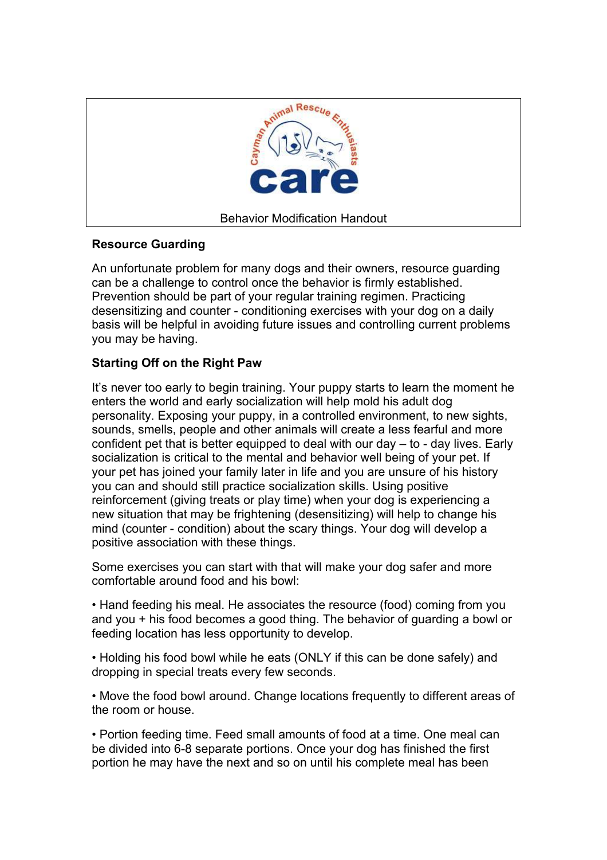

## **Resource Guarding**

An unfortunate problem for many dogs and their owners, resource guarding can be a challenge to control once the behavior is firmly established. Prevention should be part of your regular training regimen. Practicing desensitizing and counter - conditioning exercises with your dog on a daily basis will be helpful in avoiding future issues and controlling current problems you may be having.

## **Starting Off on the Right Paw**

It's never too early to begin training. Your puppy starts to learn the moment he enters the world and early socialization will help mold his adult dog personality. Exposing your puppy, in a controlled environment, to new sights, sounds, smells, people and other animals will create a less fearful and more confident pet that is better equipped to deal with our day – to - day lives. Early socialization is critical to the mental and behavior well being of your pet. If your pet has joined your family later in life and you are unsure of his history you can and should still practice socialization skills. Using positive reinforcement (giving treats or play time) when your dog is experiencing a new situation that may be frightening (desensitizing) will help to change his mind (counter - condition) about the scary things. Your dog will develop a positive association with these things.

Some exercises you can start with that will make your dog safer and more comfortable around food and his bowl:

• Hand feeding his meal. He associates the resource (food) coming from you and you + his food becomes a good thing. The behavior of guarding a bowl or feeding location has less opportunity to develop.

• Holding his food bowl while he eats (ONLY if this can be done safely) and dropping in special treats every few seconds.

• Move the food bowl around. Change locations frequently to different areas of the room or house.

• Portion feeding time. Feed small amounts of food at a time. One meal can be divided into 6-8 separate portions. Once your dog has finished the first portion he may have the next and so on until his complete meal has been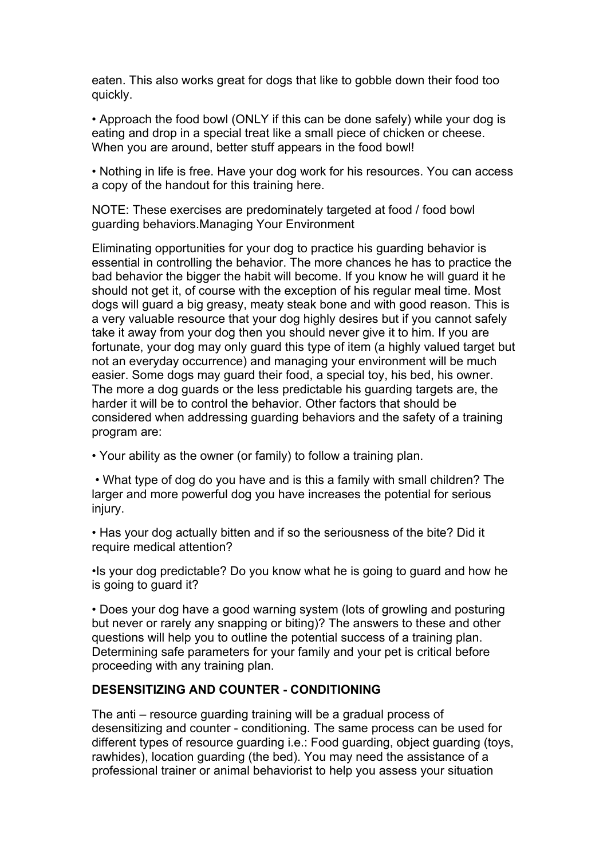eaten. This also works great for dogs that like to gobble down their food too quickly.

• Approach the food bowl (ONLY if this can be done safely) while your dog is eating and drop in a special treat like a small piece of chicken or cheese. When you are around, better stuff appears in the food bowl!

• Nothing in life is free. Have your dog work for his resources. You can access a copy of the handout for this training here.

NOTE: These exercises are predominately targeted at food / food bowl guarding behaviors.Managing Your Environment

Eliminating opportunities for your dog to practice his guarding behavior is essential in controlling the behavior. The more chances he has to practice the bad behavior the bigger the habit will become. If you know he will guard it he should not get it, of course with the exception of his regular meal time. Most dogs will guard a big greasy, meaty steak bone and with good reason. This is a very valuable resource that your dog highly desires but if you cannot safely take it away from your dog then you should never give it to him. If you are fortunate, your dog may only guard this type of item (a highly valued target but not an everyday occurrence) and managing your environment will be much easier. Some dogs may guard their food, a special toy, his bed, his owner. The more a dog guards or the less predictable his guarding targets are, the harder it will be to control the behavior. Other factors that should be considered when addressing guarding behaviors and the safety of a training program are:

• Your ability as the owner (or family) to follow a training plan.

 • What type of dog do you have and is this a family with small children? The larger and more powerful dog you have increases the potential for serious injury.

• Has your dog actually bitten and if so the seriousness of the bite? Did it require medical attention?

•Is your dog predictable? Do you know what he is going to guard and how he is going to guard it?

• Does your dog have a good warning system (lots of growling and posturing but never or rarely any snapping or biting)? The answers to these and other questions will help you to outline the potential success of a training plan. Determining safe parameters for your family and your pet is critical before proceeding with any training plan.

## **DESENSITIZING AND COUNTER - CONDITIONING**

The anti – resource guarding training will be a gradual process of desensitizing and counter - conditioning. The same process can be used for different types of resource guarding i.e.: Food guarding, object guarding (toys, rawhides), location guarding (the bed). You may need the assistance of a professional trainer or animal behaviorist to help you assess your situation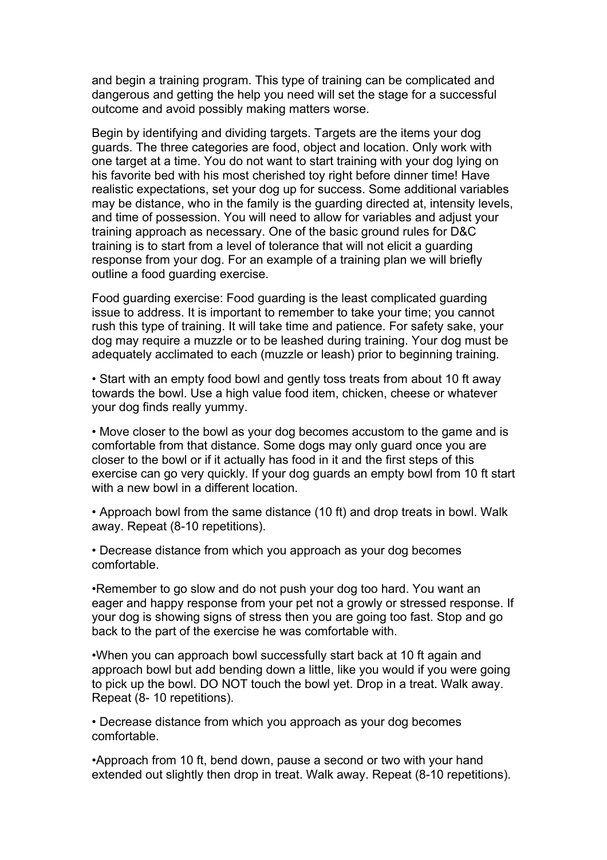and begin a training program. This type of training can be complicated and dangerous and getting the help you need will set the stage for a successful outcome and avoid possibly making matters worse.

Begin by identifying and dividing targets. Targets are the items your dog guards. The three categories are food, object and location. Only work with one target at a time. You do not want to start training with your dog lying on his favorite bed with his most cherished toy right before dinner time! Have realistic expectations, set your dog up for success. Some additional variables may be distance, who in the family is the guarding directed at, intensity levels, and time of possession. You will need to allow for variables and adjust your training approach as necessary. One of the basic ground rules for D&C training is to start from a level of tolerance that will not elicit a guarding response from your dog. For an example of a training plan we will briefly outline a food guarding exercise.

Food guarding exercise: Food guarding is the least complicated guarding issue to address. It is important to remember to take your time; you cannot rush this type of training. It will take time and patience. For safety sake, your dog may require a muzzle or to be leashed during training. Your dog must be adequately acclimated to each (muzzle or leash) prior to beginning training.

• Start with an empty food bowl and gently toss treats from about 10 ft away towards the bowl. Use a high value food item, chicken, cheese or whatever your dog finds really yummy.

• Move closer to the bowl as your dog becomes accustom to the game and is comfortable from that distance. Some dogs may only guard once you are closer to the bowl or if it actually has food in it and the first steps of this exercise can go very quickly. If your dog guards an empty bowl from 10 ft start with a new bowl in a different location

• Approach bowl from the same distance (10 ft) and drop treats in bowl. Walk away. Repeat (8-10 repetitions).

• Decrease distance from which you approach as your dog becomes comfortable.

•Remember to go slow and do not push your dog too hard. You want an eager and happy response from your pet not a growly or stressed response. If your dog is showing signs of stress then you are going too fast. Stop and go back to the part of the exercise he was comfortable with.

•When you can approach bowl successfully start back at 10 ft again and approach bowl but add bending down a little, like you would if you were going to pick up the bowl. DO NOT touch the bowl yet. Drop in a treat. Walk away. Repeat (8- 10 repetitions).

• Decrease distance from which you approach as your dog becomes comfortable.

•Approach from 10 ft, bend down, pause a second or two with your hand extended out slightly then drop in treat. Walk away. Repeat (8-10 repetitions).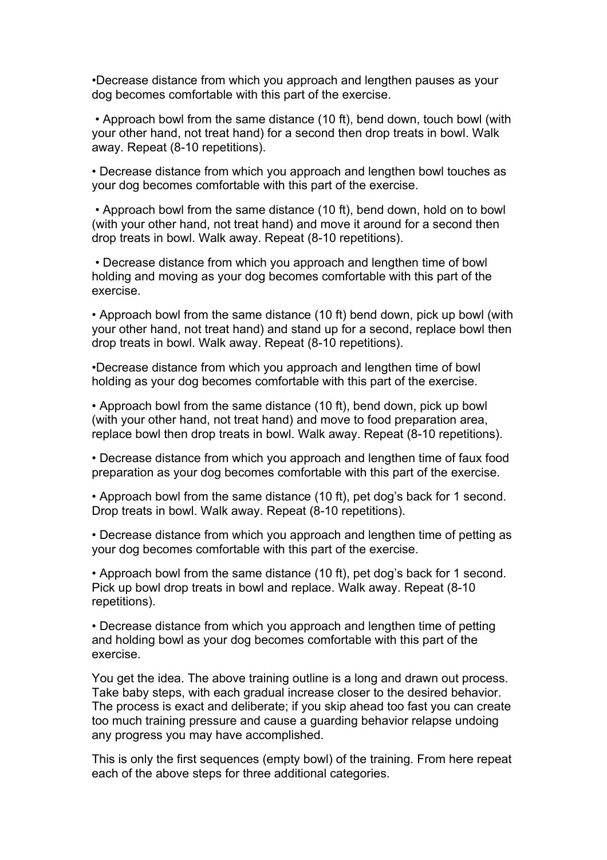•Decrease distance from which you approach and lengthen pauses as your dog becomes comfortable with this part of the exercise.

 • Approach bowl from the same distance (10 ft), bend down, touch bowl (with your other hand, not treat hand) for a second then drop treats in bowl. Walk away. Repeat (8-10 repetitions).

• Decrease distance from which you approach and lengthen bowl touches as your dog becomes comfortable with this part of the exercise.

 • Approach bowl from the same distance (10 ft), bend down, hold on to bowl (with your other hand, not treat hand) and move it around for a second then drop treats in bowl. Walk away. Repeat (8-10 repetitions).

 • Decrease distance from which you approach and lengthen time of bowl holding and moving as your dog becomes comfortable with this part of the exercise.

• Approach bowl from the same distance (10 ft) bend down, pick up bowl (with your other hand, not treat hand) and stand up for a second, replace bowl then drop treats in bowl. Walk away. Repeat (8-10 repetitions).

•Decrease distance from which you approach and lengthen time of bowl holding as your dog becomes comfortable with this part of the exercise.

• Approach bowl from the same distance (10 ft), bend down, pick up bowl (with your other hand, not treat hand) and move to food preparation area, replace bowl then drop treats in bowl. Walk away. Repeat (8-10 repetitions).

• Decrease distance from which you approach and lengthen time of faux food preparation as your dog becomes comfortable with this part of the exercise.

• Approach bowl from the same distance (10 ft), pet dog's back for 1 second. Drop treats in bowl. Walk away. Repeat (8-10 repetitions).

• Decrease distance from which you approach and lengthen time of petting as your dog becomes comfortable with this part of the exercise.

• Approach bowl from the same distance (10 ft), pet dog's back for 1 second. Pick up bowl drop treats in bowl and replace. Walk away. Repeat (8-10 repetitions).

• Decrease distance from which you approach and lengthen time of petting and holding bowl as your dog becomes comfortable with this part of the exercise.

You get the idea. The above training outline is a long and drawn out process. Take baby steps, with each gradual increase closer to the desired behavior. The process is exact and deliberate; if you skip ahead too fast you can create too much training pressure and cause a guarding behavior relapse undoing any progress you may have accomplished.

This is only the first sequences (empty bowl) of the training. From here repeat each of the above steps for three additional categories.